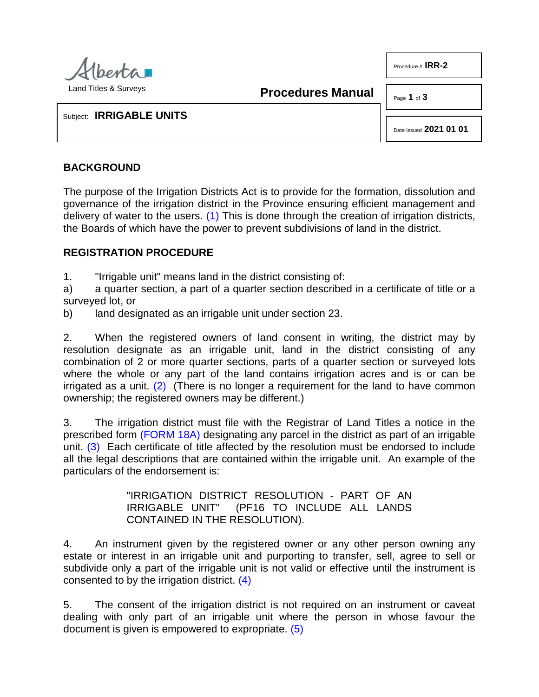

Procedure # **IRR-2**

<span id="page-0-0"></span>**Procedures Manual**

Page **1** of **3**

Subject: **IRRIGABLE UNITS**

Date Issued **2021 01 01**

## **BACKGROUND**

The purpose of the Irrigation Districts Act is to provide for the formation, dissolution and governance of the irrigation district in the Province ensuring efficient management and delivery of water to the users.  $(1)$  This is done through the creation of irrigation districts, the Boards of which have the power to prevent subdivisions of land in the district.

## **REGISTRATION PROCEDURE**

1. "Irrigable unit" means land in the district consisting of:

a) a quarter section, a part of a quarter section described in a certificate of title or a surveyed lot, or

b) land designated as an irrigable unit under section 23.

2. When the registered owners of land consent in writing, the district may by resolution designate as an irrigable unit, land in the district consisting of any combination of 2 or more quarter sections, parts of a quarter section or surveyed lots where the whole or any part of the land contains irrigation acres and is or can be irrigated as a unit.  $(2)$  (There is no longer a requirement for the land to have common ownership; the registered owners may be different.)

<span id="page-0-2"></span><span id="page-0-1"></span>3. The irrigation district must file with the Registrar of Land Titles a notice in the prescribed form [\(FORM 18A\)](http://www.servicealberta.ca/pdf/ltmanual/IRR-FORM18A.pdf) designating any parcel in the district as part of an irrigable unit. [\(3\)](#page-2-2) Each certificate of title affected by the resolution must be endorsed to include all the legal descriptions that are contained within the irrigable unit. An example of the particulars of the endorsement is:

> <span id="page-0-4"></span><span id="page-0-3"></span>"IRRIGATION DISTRICT RESOLUTION - PART OF AN IRRIGABLE UNIT" (PF16 TO INCLUDE ALL LANDS CONTAINED IN THE RESOLUTION).

4. An instrument given by the registered owner or any other person owning any estate or interest in an irrigable unit and purporting to transfer, sell, agree to sell or subdivide only a part of the irrigable unit is not valid or effective until the instrument is consented to by the irrigation district. [\(4\)](#page-2-3)

5. The consent of the irrigation district is not required on an instrument or caveat dealing with only part of an irrigable unit where the person in whose favour the document is given is empowered to expropriate. [\(5\)](#page-2-4)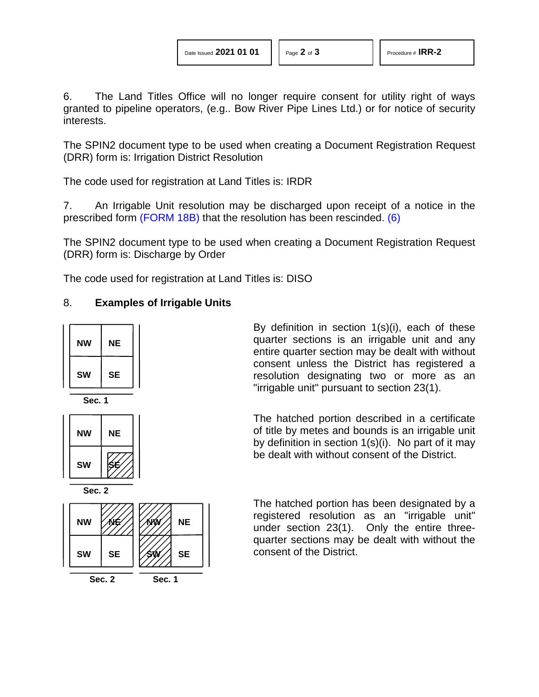6. The Land Titles Office will no longer require consent for utility right of ways granted to pipeline operators, (e.g.. Bow River Pipe Lines Ltd.) or for notice of security interests.

The SPIN2 document type to be used when creating a Document Registration Request (DRR) form is: Irrigation District Resolution

The code used for registration at Land Titles is: IRDR

7. An Irrigable Unit resolution may be discharged upon receipt of a notice in the prescribed form [\(FORM 18B\)](http://www.servicealberta.ca/pdf/ltmanual/IRR-FORM18B.pdf) that the resolution has been rescinded. [\(6\)](#page-2-5)

The SPIN2 document type to be used when creating a Document Registration Request (DRR) form is: Discharge by Order

The code used for registration at Land Titles is: DISO

## 8. **Examples of Irrigable Units**







**Sec. 2**



<span id="page-1-0"></span>By definition in section 1(s)(i), each of these quarter sections is an irrigable unit and any entire quarter section may be dealt with without consent unless the District has registered a resolution designating two or more as an "irrigable unit" pursuant to section 23(1).

The hatched portion described in a certificate of title by metes and bounds is an irrigable unit by definition in section 1(s)(i). No part of it may be dealt with without consent of the District.

The hatched portion has been designated by a registered resolution as an "irrigable unit" under section 23(1). Only the entire threequarter sections may be dealt with without the consent of the District.